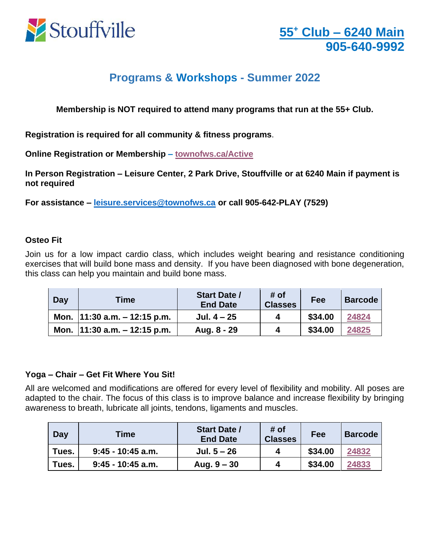

# **Programs & Workshops - Summer 2022**

**Membership is NOT required to attend many programs that run at the 55+ Club.** 

**Registration is required for all community & fitness programs**.

**Online Registration or Membership – [townofws.ca/Active](https://anc.ca.apm.activecommunities.com/townofws/activity/search?onlineSiteId=0&activity_select_param=2¢er_ids=3&viewMode=list)**

**In Person Registration – Leisure Center, 2 Park Drive, Stouffville or at 6240 Main if payment is not required**

**For assistance – [leisure.services@townofws.ca](mailto:leisure.services@townofws.ca) or call 905-642-PLAY (7529)**

#### **Osteo Fit**

Join us for a low impact cardio class, which includes weight bearing and resistance conditioning exercises that will build bone mass and density. If you have been diagnosed with bone degeneration, this class can help you maintain and build bone mass.

| Day | Time                              | <b>Start Date /</b><br><b>End Date</b> | # of<br><b>Classes</b> | Fee     | <b>Barcode</b> |
|-----|-----------------------------------|----------------------------------------|------------------------|---------|----------------|
|     | Mon. $ 11:30$ a.m. $- 12:15$ p.m. | Jul. $4 - 25$                          |                        | \$34.00 | 24824          |
|     | Mon. $ 11:30$ a.m. $- 12:15$ p.m. | Aug. 8 - 29                            |                        | \$34.00 | 24825          |

## **Yoga – Chair – Get Fit Where You Sit!**

All are welcomed and modifications are offered for every level of flexibility and mobility. All poses are adapted to the chair. The focus of this class is to improve balance and increase flexibility by bringing awareness to breath, lubricate all joints, tendons, ligaments and muscles.

| <b>Day</b> | <b>Time</b>         | <b>Start Date /</b><br><b>End Date</b> | # of<br><b>Classes</b> | Fee     | <b>Barcode</b> |
|------------|---------------------|----------------------------------------|------------------------|---------|----------------|
| Tues.      | $9:45 - 10:45$ a.m. | Jul. $5 - 26$                          |                        | \$34.00 | 24832          |
| Tues.      | $9:45 - 10:45$ a.m. | Aug. $9 - 30$                          |                        | \$34.00 | 24833          |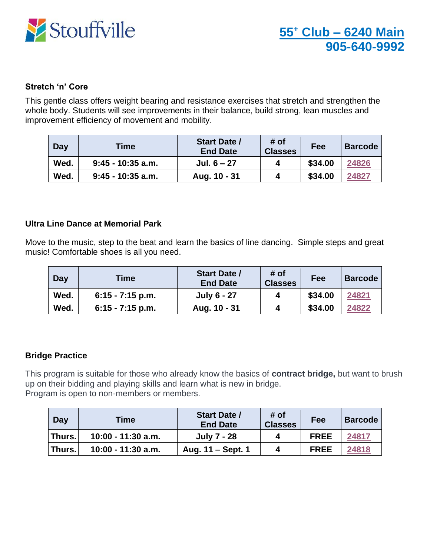

#### **Stretch 'n' Core**

This gentle class offers weight bearing and resistance exercises that stretch and strengthen the whole body. Students will see improvements in their balance, build strong, lean muscles and improvement efficiency of movement and mobility.

| <b>Day</b> | Time                | <b>Start Date /</b><br><b>End Date</b> | # of<br><b>Classes</b> | Fee     | <b>Barcode</b> |
|------------|---------------------|----------------------------------------|------------------------|---------|----------------|
| Wed.       | $9:45 - 10:35$ a.m. | Jul. $6 - 27$                          |                        | \$34.00 | 24826          |
| Wed.       | $9:45 - 10:35$ a.m. | Aug. 10 - 31                           |                        | \$34.00 | 24827          |

#### **Ultra Line Dance at Memorial Park**

Move to the music, step to the beat and learn the basics of line dancing. Simple steps and great music! Comfortable shoes is all you need.

| Day  | <b>Time</b>        | <b>Start Date /</b><br><b>End Date</b> | # of<br><b>Classes</b> | Fee     | <b>Barcode</b> |
|------|--------------------|----------------------------------------|------------------------|---------|----------------|
| Wed. | $6:15 - 7:15$ p.m. | <b>July 6 - 27</b>                     |                        | \$34.00 | 24821          |
| Wed. | $6:15 - 7:15$ p.m. | Aug. 10 - 31                           |                        | \$34.00 | 24822          |

## **Bridge Practice**

This program is suitable for those who already know the basics of **contract bridge,** but want to brush up on their bidding and playing skills and learn what is new in bridge. Program is open to non-members or members.

| Day           | Time               | <b>Start Date /</b><br><b>End Date</b> | # of<br><b>Classes</b> | Fee         | <b>Barcode</b> |
|---------------|--------------------|----------------------------------------|------------------------|-------------|----------------|
| <b>Thurs.</b> | 10:00 - 11:30 a.m. | July 7 - 28                            |                        | <b>FREE</b> | 24817          |
| <b>Thurs.</b> | 10:00 - 11:30 a.m. | Aug. 11 – Sept. 1                      |                        | <b>FREE</b> | 24818          |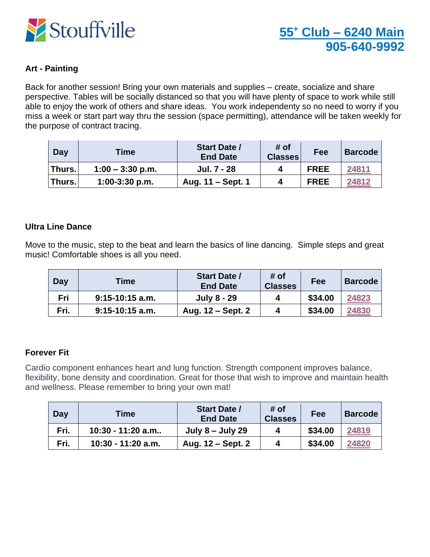

## **Art - Painting**

Back for another session! Bring your own materials and supplies – create, socialize and share perspective. Tables will be socially distanced so that you will have plenty of space to work while still able to enjoy the work of others and share ideas. You work independenty so no need to worry if you miss a week or start part way thru the session (space permitting), attendance will be taken weekly for the purpose of contract tracing.

| Day    | Time               | <b>Start Date /</b><br><b>End Date</b> | # of<br><b>Classes</b> | Fee         | <b>Barcode</b> |
|--------|--------------------|----------------------------------------|------------------------|-------------|----------------|
| Thurs. | $1:00 - 3:30$ p.m. | Jul. 7 - 28                            |                        | <b>FREE</b> | 24811          |
| Thurs. | $1:00-3:30$ p.m.   | Aug. 11 – Sept. 1                      | 4                      | <b>FREE</b> | 24812          |

#### **Ultra Line Dance**

Move to the music, step to the beat and learn the basics of line dancing. Simple steps and great music! Comfortable shoes is all you need.

| Day  | Time              | <b>Start Date /</b><br><b>End Date</b> | # of<br><b>Classes</b> | Fee     | <b>Barcode</b> |
|------|-------------------|----------------------------------------|------------------------|---------|----------------|
| Fri  | $9:15-10:15$ a.m. | <b>July 8 - 29</b>                     |                        | \$34.00 | 24823          |
| Fri. | $9:15-10:15$ a.m. | Aug. 12 – Sept. 2                      |                        | \$34.00 | 24830          |

## **Forever Fit**

Cardio component enhances heart and lung function. Strength component improves balance, flexibility, bone density and coordination. Great for those that wish to improve and maintain health and wellness. Please remember to bring your own mat!

| Day  | Time               | <b>Start Date /</b><br><b>End Date</b> | # of<br><b>Classes</b> | Fee     | <b>Barcode</b> |
|------|--------------------|----------------------------------------|------------------------|---------|----------------|
| Fri. | 10:30 - 11:20 a.m  | July $8 -$ July 29                     |                        | \$34.00 | 24819          |
| Fri. | 10:30 - 11:20 a.m. | Aug. 12 – Sept. 2                      |                        | \$34.00 | 24820          |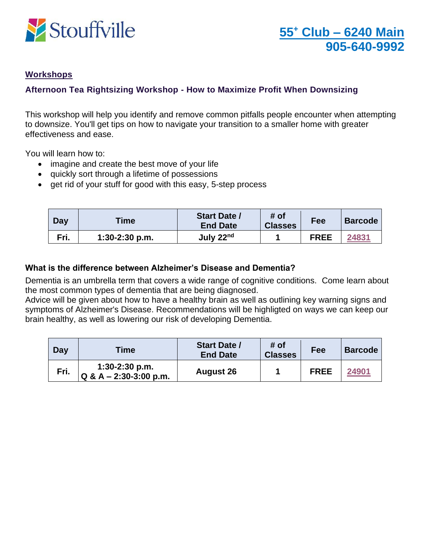

## **Workshops**

## **Afternoon Tea Rightsizing Workshop - How to Maximize Profit When Downsizing**

This workshop will help you identify and remove common pitfalls people encounter when attempting to downsize. You'll get tips on how to navigate your transition to a smaller home with greater effectiveness and ease.

You will learn how to:

- imagine and create the best move of your life
- quickly sort through a lifetime of possessions
- get rid of your stuff for good with this easy, 5-step process

| Day  | <b>Time</b>      | <b>Start Date /</b><br><b>End Date</b> | # of<br><b>Classes</b> | Fee         | <b>Barcode</b> |
|------|------------------|----------------------------------------|------------------------|-------------|----------------|
| Fri. | $1:30-2:30$ p.m. | July 22nd                              |                        | <b>FREE</b> | 24831          |

#### **What is the difference between Alzheimer's Disease and Dementia?**

Dementia is an umbrella term that covers a wide range of cognitive conditions. Come learn about the most common types of dementia that are being diagnosed.

Advice will be given about how to have a healthy brain as well as outlining key warning signs and symptoms of Alzheimer's Disease. Recommendations will be highligted on ways we can keep our brain healthy, as well as lowering our risk of developing Dementia.

| Day  | <b>Time</b>                                  | <b>Start Date /</b><br><b>End Date</b> | # of<br><b>Classes</b> | Fee         | <b>Barcode</b> |
|------|----------------------------------------------|----------------------------------------|------------------------|-------------|----------------|
| Fri. | $1:30-2:30$ p.m.<br>$Q & A - 2:30-3:00 p.m.$ | <b>August 26</b>                       |                        | <b>FREE</b> | 24901          |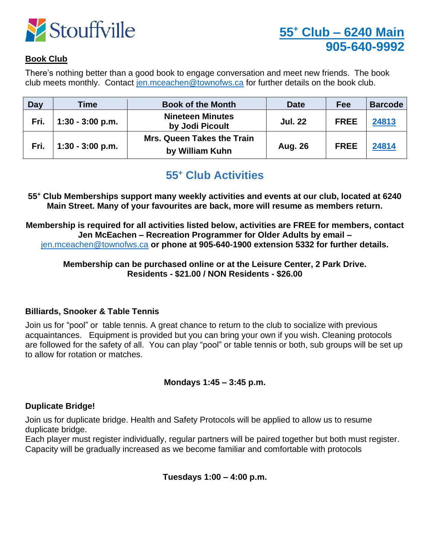

## **Book Club**

There's nothing better than a good book to engage conversation and meet new friends. The book club meets monthly. Contact [jen.mceachen@townofws.ca](mailto:jen.mceachen@townofws.ca) for further details on the book club.

| <b>Day</b> | Time               | <b>Book of the Month</b>                             | <b>Date</b>    | Fee         | <b>Barcode</b> |
|------------|--------------------|------------------------------------------------------|----------------|-------------|----------------|
| Fri.       | $1:30 - 3:00$ p.m. | <b>Nineteen Minutes</b><br>by Jodi Picoult           | <b>Jul. 22</b> | <b>FREE</b> | 24813          |
| Fri.       | $1:30 - 3:00$ p.m. | <b>Mrs. Queen Takes the Train</b><br>by William Kuhn | <b>Aug. 26</b> | <b>FREE</b> | 24814          |

## **55<sup>+</sup> Club Activities**

**55<sup>+</sup> Club Memberships support many weekly activities and events at our club, located at 6240 Main Street. Many of your favourites are back, more will resume as members return.**

**Membership is required for all activities listed below, activities are FREE for members, contact Jen McEachen – Recreation Programmer for Older Adults by email –** [jen.mceachen@townofws.ca](mailto:jen.mceachen@townofws.ca) **or phone at 905-640-1900 extension 5332 for further details.**

**Membership can be purchased online or at the Leisure Center, 2 Park Drive. Residents - \$21.00 / NON Residents - \$26.00**

## **Billiards, Snooker & Table Tennis**

Join us for "pool" or table tennis. A great chance to return to the club to socialize with previous acquaintances. Equipment is provided but you can bring your own if you wish. Cleaning protocols are followed for the safety of all. You can play "pool" or table tennis or both, sub groups will be set up to allow for rotation or matches.

## **Mondays 1:45 – 3:45 p.m.**

## **Duplicate Bridge!**

Join us for duplicate bridge. Health and Safety Protocols will be applied to allow us to resume duplicate bridge.

Each player must register individually, regular partners will be paired together but both must register. Capacity will be gradually increased as we become familiar and comfortable with protocols

**Tuesdays 1:00 – 4:00 p.m.**